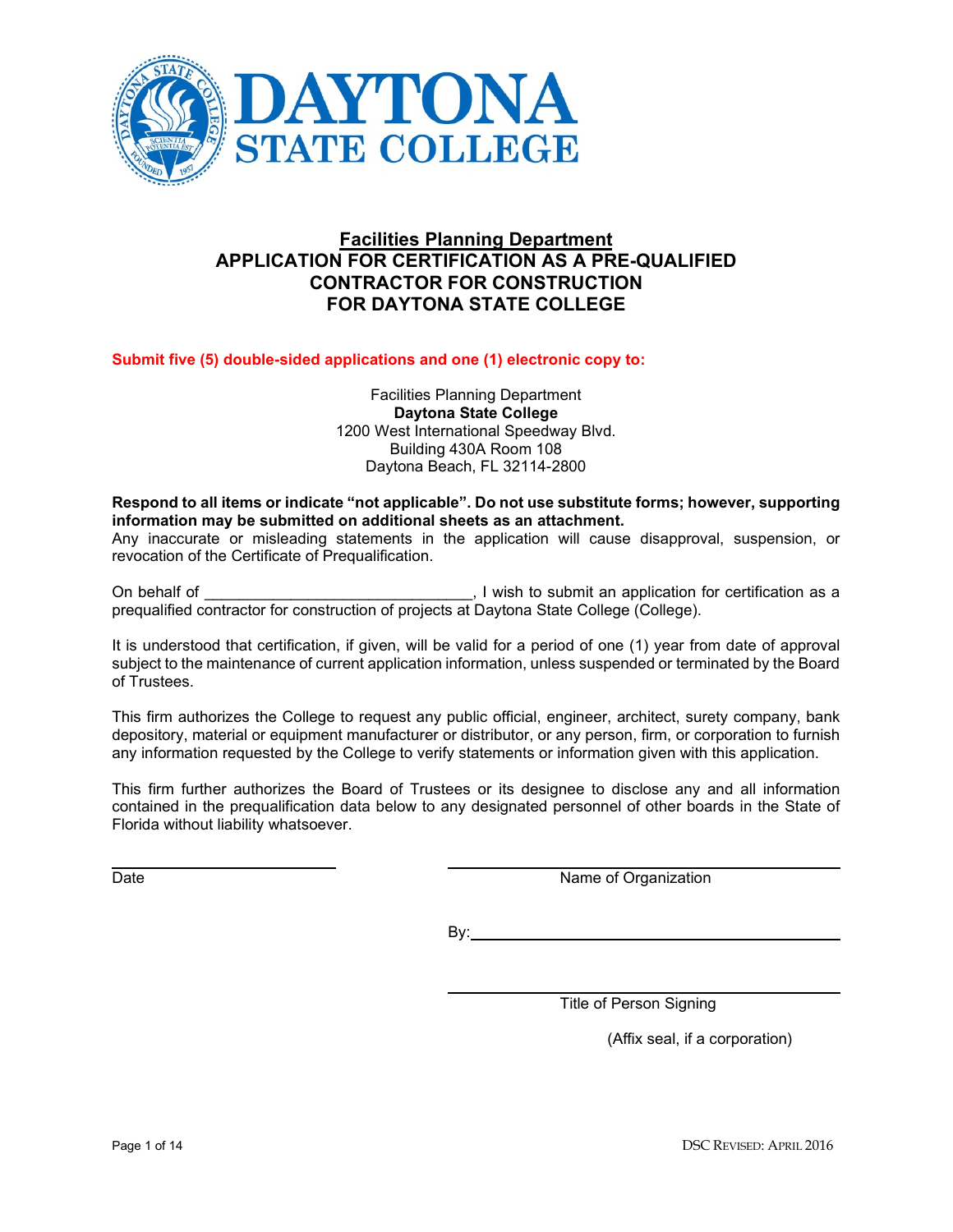

# **Facilities Planning Department APPLICATION FOR CERTIFICATION AS A PRE-QUALIFIED CONTRACTOR FOR CONSTRUCTION FOR DAYTONA STATE COLLEGE**

### **Submit five (5) double-sided applications and one (1) electronic copy to:**

Facilities Planning Department **Daytona State College** 1200 West International Speedway Blvd. Building 430A Room 108 Daytona Beach, FL 32114-2800

#### **Respond to all items or indicate "not applicable". Do not use substitute forms; however, supporting information may be submitted on additional sheets as an attachment.**

Any inaccurate or misleading statements in the application will cause disapproval, suspension, or revocation of the Certificate of Prequalification.

On behalf of \_\_\_\_\_\_\_\_\_\_\_\_\_\_\_\_\_\_\_\_\_\_\_\_\_\_\_\_\_\_\_, I wish to submit an application for certification as a prequalified contractor for construction of projects at Daytona State College (College).

It is understood that certification, if given, will be valid for a period of one (1) year from date of approval subject to the maintenance of current application information, unless suspended or terminated by the Board of Trustees.

This firm authorizes the College to request any public official, engineer, architect, surety company, bank depository, material or equipment manufacturer or distributor, or any person, firm, or corporation to furnish any information requested by the College to verify statements or information given with this application.

This firm further authorizes the Board of Trustees or its designee to disclose any and all information contained in the prequalification data below to any designated personnel of other boards in the State of Florida without liability whatsoever.

Date Name of Organization

By:

Title of Person Signing

(Affix seal, if a corporation)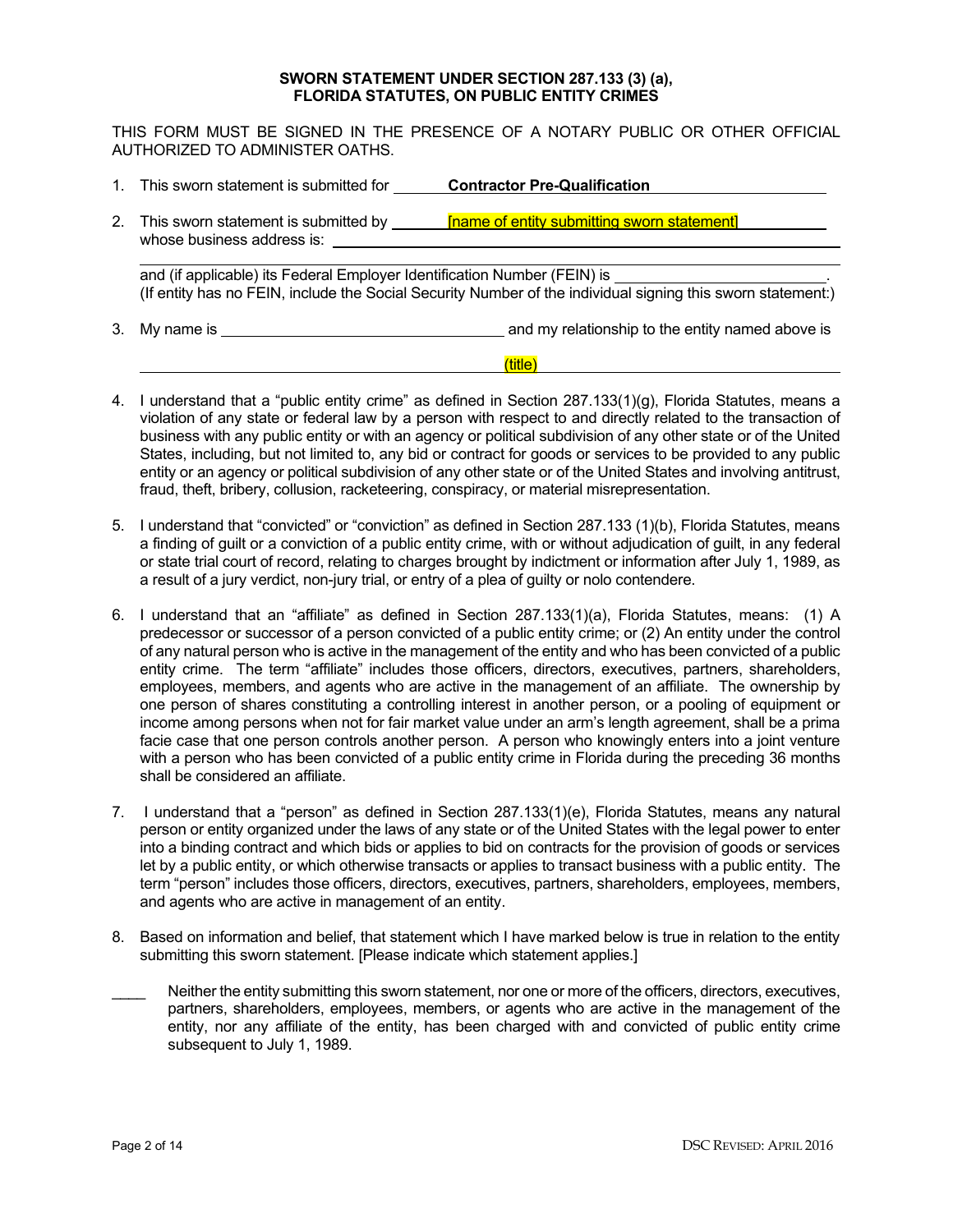#### **SWORN STATEMENT UNDER SECTION 287.133 (3) (a), FLORIDA STATUTES, ON PUBLIC ENTITY CRIMES**

THIS FORM MUST BE SIGNED IN THE PRESENCE OF A NOTARY PUBLIC OR OTHER OFFICIAL AUTHORIZED TO ADMINISTER OATHS.

1. This sworn statement is submitted for **Contractor Pre-Qualification** 2. This sworn statement is submitted by **[name of entity submitting sworn statement]** whose business address is: and (if applicable) its Federal Employer Identification Number (FEIN) is (If entity has no FEIN, include the Social Security Number of the individual signing this sworn statement:) 3. My name is and my relationship to the entity named above is

## (title)

- 4. I understand that a "public entity crime" as defined in Section 287.133(1)(g), Florida Statutes, means a violation of any state or federal law by a person with respect to and directly related to the transaction of business with any public entity or with an agency or political subdivision of any other state or of the United States, including, but not limited to, any bid or contract for goods or services to be provided to any public entity or an agency or political subdivision of any other state or of the United States and involving antitrust, fraud, theft, bribery, collusion, racketeering, conspiracy, or material misrepresentation.
- 5. I understand that "convicted" or "conviction" as defined in Section 287.133 (1)(b), Florida Statutes, means a finding of guilt or a conviction of a public entity crime, with or without adjudication of guilt, in any federal or state trial court of record, relating to charges brought by indictment or information after July 1, 1989, as a result of a jury verdict, non-jury trial, or entry of a plea of guilty or nolo contendere.
- 6. I understand that an "affiliate" as defined in Section 287.133(1)(a), Florida Statutes, means: (1) A predecessor or successor of a person convicted of a public entity crime; or (2) An entity under the control of any natural person who is active in the management of the entity and who has been convicted of a public entity crime. The term "affiliate" includes those officers, directors, executives, partners, shareholders, employees, members, and agents who are active in the management of an affiliate. The ownership by one person of shares constituting a controlling interest in another person, or a pooling of equipment or income among persons when not for fair market value under an arm's length agreement, shall be a prima facie case that one person controls another person. A person who knowingly enters into a joint venture with a person who has been convicted of a public entity crime in Florida during the preceding 36 months shall be considered an affiliate.
- 7. I understand that a "person" as defined in Section 287.133(1)(e), Florida Statutes, means any natural person or entity organized under the laws of any state or of the United States with the legal power to enter into a binding contract and which bids or applies to bid on contracts for the provision of goods or services let by a public entity, or which otherwise transacts or applies to transact business with a public entity. The term "person" includes those officers, directors, executives, partners, shareholders, employees, members, and agents who are active in management of an entity.
- 8. Based on information and belief, that statement which I have marked below is true in relation to the entity submitting this sworn statement. [Please indicate which statement applies.]
- Neither the entity submitting this sworn statement, nor one or more of the officers, directors, executives, partners, shareholders, employees, members, or agents who are active in the management of the entity, nor any affiliate of the entity, has been charged with and convicted of public entity crime subsequent to July 1, 1989.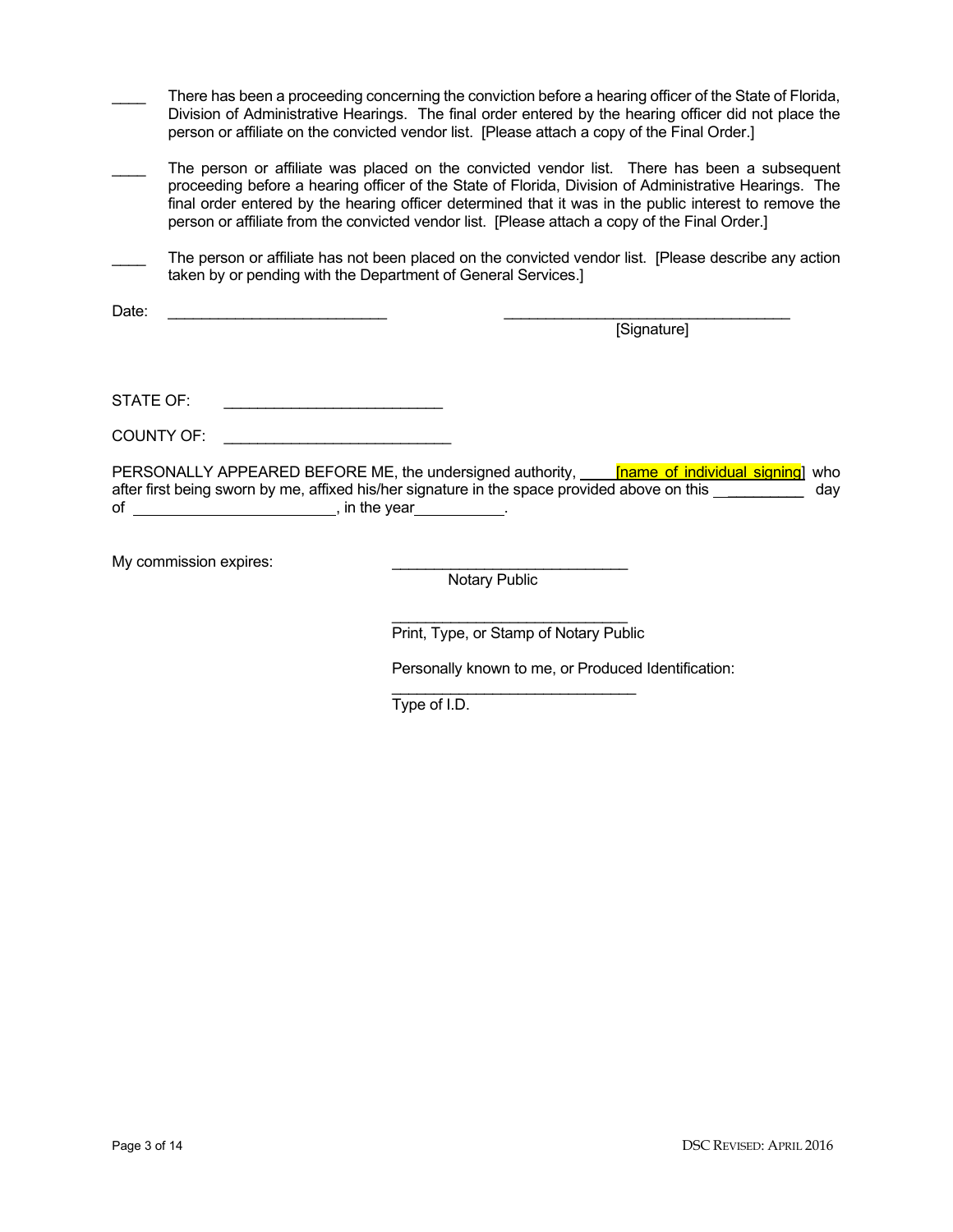|            | There has been a proceeding concerning the conviction before a hearing officer of the State of Florida,<br>Division of Administrative Hearings. The final order entered by the hearing officer did not place the<br>person or affiliate on the convicted vendor list. [Please attach a copy of the Final Order.]                                                                                                  |
|------------|-------------------------------------------------------------------------------------------------------------------------------------------------------------------------------------------------------------------------------------------------------------------------------------------------------------------------------------------------------------------------------------------------------------------|
|            | The person or affiliate was placed on the convicted vendor list. There has been a subsequent<br>proceeding before a hearing officer of the State of Florida, Division of Administrative Hearings. The<br>final order entered by the hearing officer determined that it was in the public interest to remove the<br>person or affiliate from the convicted vendor list. [Please attach a copy of the Final Order.] |
|            | The person or affiliate has not been placed on the convicted vendor list. [Please describe any action<br>taken by or pending with the Department of General Services.]                                                                                                                                                                                                                                            |
| Date:      | [Signature]                                                                                                                                                                                                                                                                                                                                                                                                       |
| STATE OF:  |                                                                                                                                                                                                                                                                                                                                                                                                                   |
| COUNTY OF: |                                                                                                                                                                                                                                                                                                                                                                                                                   |
|            | PERSONALLY APPEARED BEFORE ME, the undersigned authority, <b>Filly 10</b> in the liminal signing who<br>after first being sworn by me, affixed his/her signature in the space provided above on this election-<br>day<br>of $\qquad \qquad$ , in the year                                                                                                                                                         |
|            | My commission expires:<br>Notary Public                                                                                                                                                                                                                                                                                                                                                                           |

\_\_\_\_\_\_\_\_\_\_\_\_\_\_\_\_\_\_\_\_\_\_\_\_\_\_\_\_ Print, Type, or Stamp of Notary Public

Personally known to me, or Produced Identification:

\_\_\_\_\_\_\_\_\_\_\_\_\_\_\_\_\_\_\_\_\_\_\_\_\_\_\_\_\_ Type of I.D.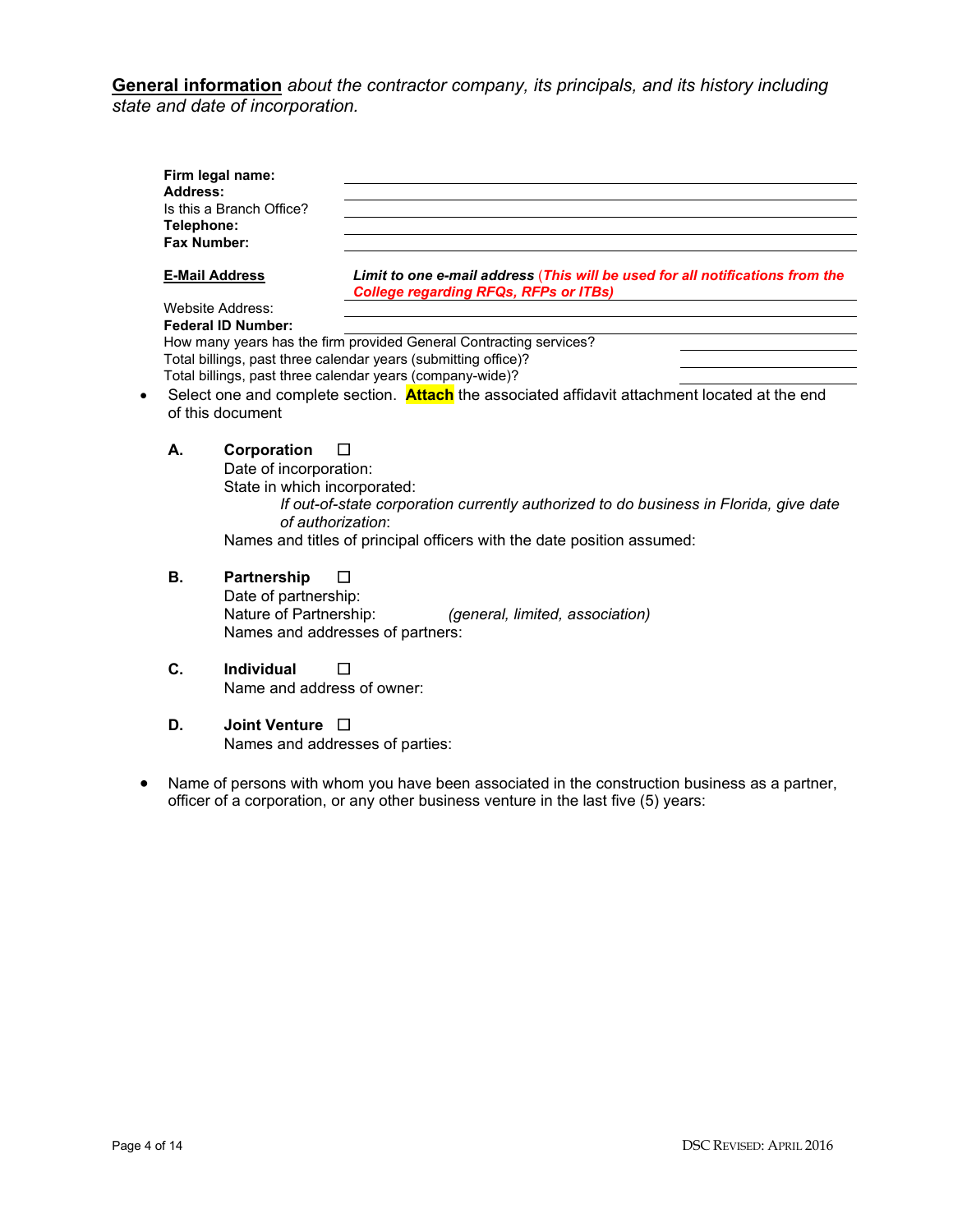**General information** *about the contractor company, its principals, and its history including state and date of incorporation.*

| Firm legal name:<br>Address:<br>Is this a Branch Office? |                                                                                                                               |
|----------------------------------------------------------|-------------------------------------------------------------------------------------------------------------------------------|
| Telephone:                                               |                                                                                                                               |
| Fax Number:                                              |                                                                                                                               |
| <b>E-Mail Address</b>                                    | Limit to one e-mail address (This will be used for all notifications from the<br><b>College regarding RFQs, RFPs or ITBs)</b> |
| Website Address:                                         |                                                                                                                               |
| <b>Federal ID Number:</b>                                |                                                                                                                               |
|                                                          | How many years has the firm provided General Contracting services?                                                            |
|                                                          | Total billings, past three calendar years (submitting office)?                                                                |
|                                                          | Total billings, past three calendar years (company-wide)?                                                                     |
| of this document                                         | Select one and complete section. Attach the associated affidavit attachment located at the end                                |
| Corporation<br>А.                                        | П                                                                                                                             |
|                                                          | Date of incorporation:                                                                                                        |
|                                                          | State in which incorporated:                                                                                                  |
|                                                          | If out-of-state corporation currently authorized to do business in Florida, give date<br>of authorization:                    |

Names and titles of principal officers with the date position assumed:

## **B.** Partnership □

Date of partnership:<br>Nature of Partnership: (general, limited, association) Names and addresses of partners:

**C. Individual** ☐ Name and address of owner:

### **D. Joint Venture** ☐

Names and addresses of parties:

• Name of persons with whom you have been associated in the construction business as a partner, officer of a corporation, or any other business venture in the last five (5) years: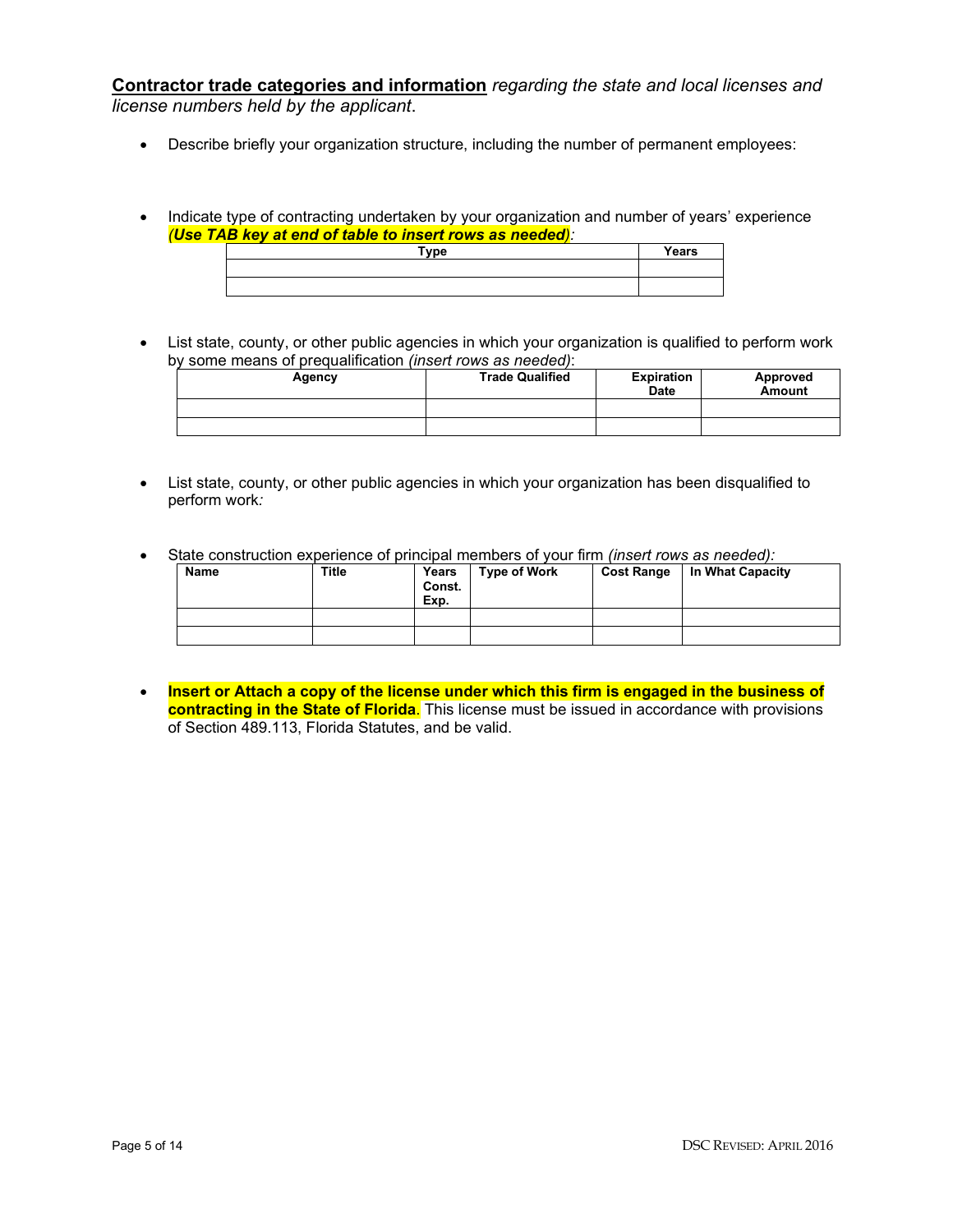**Contractor trade categories and information** *regarding the state and local licenses and license numbers held by the applicant*.

- Describe briefly your organization structure, including the number of permanent employees:
- Indicate type of contracting undertaken by your organization and number of years' experience *(Use TAB key at end of table to insert rows as needed):*

| <b>Type</b> | Years |
|-------------|-------|
|             |       |
|             |       |

List state, county, or other public agencies in which your organization is qualified to perform work by some means of prequalification *(insert rows as needed)*:

| Agency | <b>Trade Qualified</b> | <b>Expiration</b><br><b>Date</b> | Approved<br><b>Amount</b> |
|--------|------------------------|----------------------------------|---------------------------|
|        |                        |                                  |                           |
|        |                        |                                  |                           |

- List state, county, or other public agencies in which your organization has been disqualified to perform work*:*
- State construction experience of principal members of your firm *(insert rows as needed):*

| Name | <b>Title</b> | Years<br>Const.<br>Exp. | <b>Type of Work</b> | <b>Cost Range</b> | In What Capacity |  |  |  |
|------|--------------|-------------------------|---------------------|-------------------|------------------|--|--|--|
|      |              |                         |                     |                   |                  |  |  |  |
|      |              |                         |                     |                   |                  |  |  |  |

• **Insert or Attach a copy of the license under which this firm is engaged in the business of contracting in the State of Florida**. This license must be issued in accordance with provisions of Section 489.113, Florida Statutes, and be valid.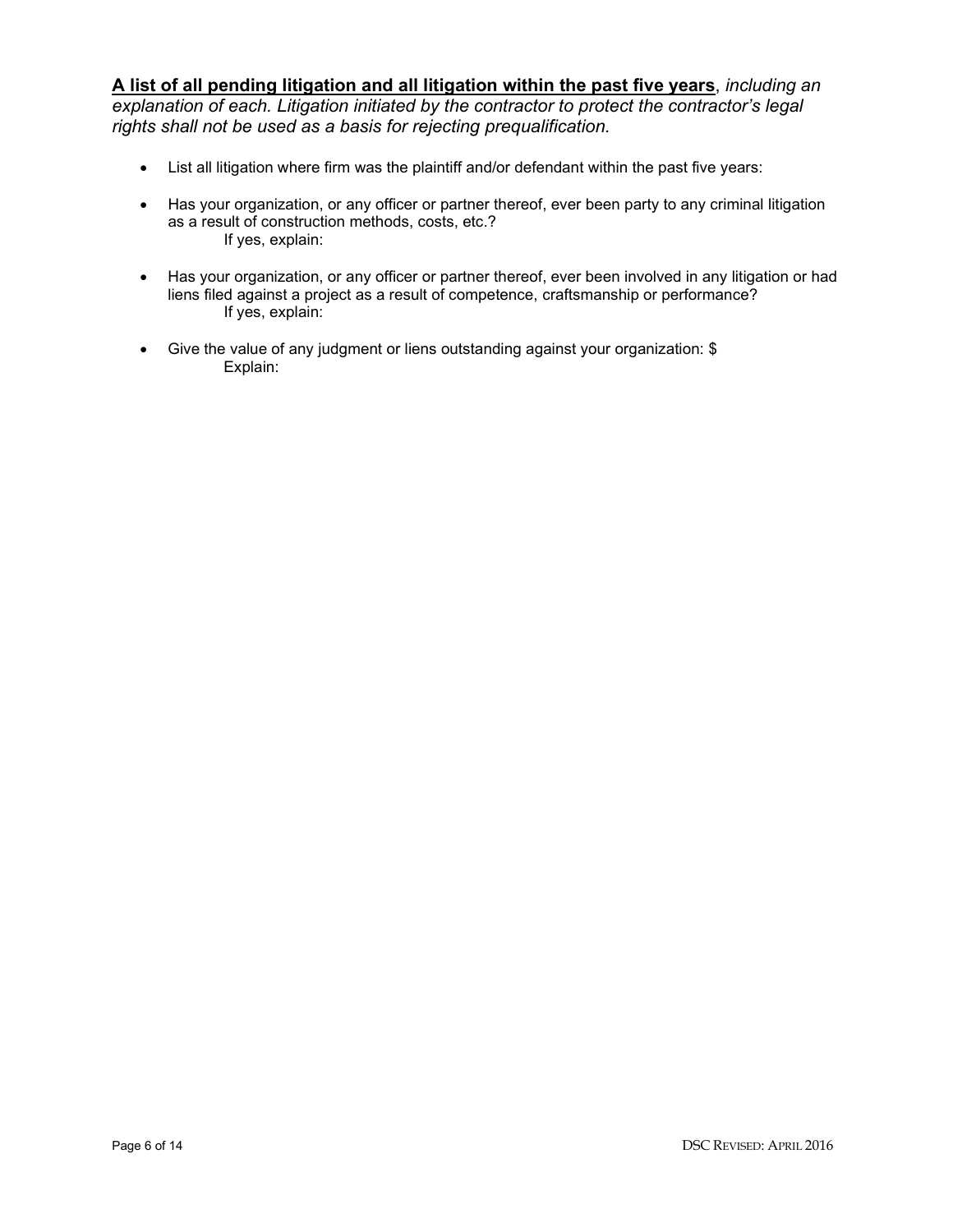**A list of all pending litigation and all litigation within the past five years**, *including an explanation of each. Litigation initiated by the contractor to protect the contractor's legal rights shall not be used as a basis for rejecting prequalification.* 

- List all litigation where firm was the plaintiff and/or defendant within the past five years:
- Has your organization, or any officer or partner thereof, ever been party to any criminal litigation as a result of construction methods, costs, etc.? If yes, explain:
- Has your organization, or any officer or partner thereof, ever been involved in any litigation or had liens filed against a project as a result of competence, craftsmanship or performance? If yes, explain:
- Give the value of any judgment or liens outstanding against your organization: \$ Explain: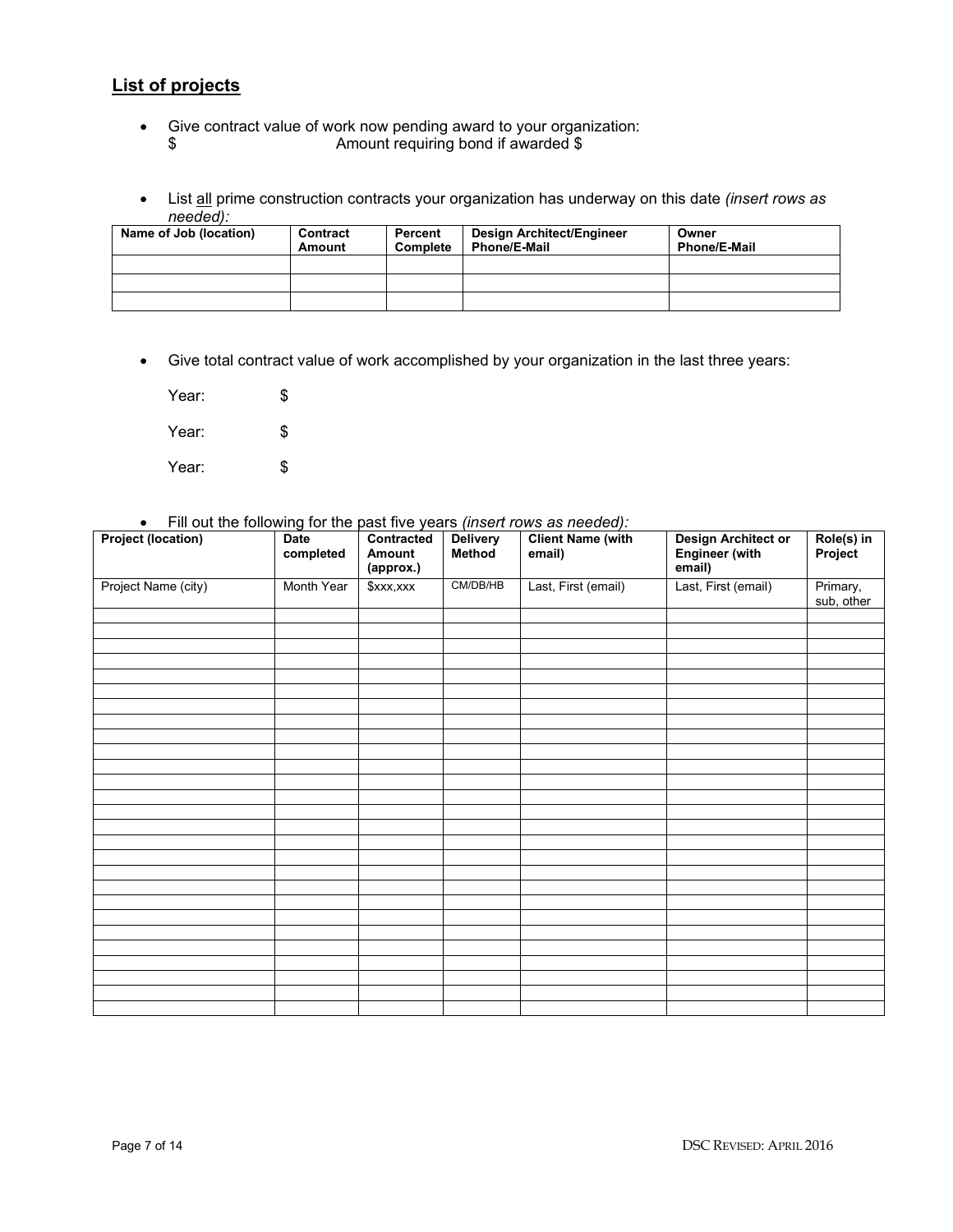## **List of projects**

- Give contract value of work now pending award to your organization: \$ Amount requiring bond if awarded \$
- List all prime construction contracts your organization has underway on this date *(insert rows as needed):*

| Name of Job (location) | Contract<br>Amount | Percent<br>Complete | Design Architect/Engineer<br><b>Phone/E-Mail</b> | Owner<br><b>Phone/E-Mail</b> |
|------------------------|--------------------|---------------------|--------------------------------------------------|------------------------------|
|                        |                    |                     |                                                  |                              |
|                        |                    |                     |                                                  |                              |
|                        |                    |                     |                                                  |                              |

• Give total contract value of work accomplished by your organization in the last three years:

Year: \$ Year: \$ Year: \$

• Fill out the following for the past five years *(insert rows as needed):*

| If you are not one wing for the past five years (moet rond as needed).<br><b>Project (location)</b> | Date<br>completed | Contracted<br>Amount<br>(approx.) | <b>Delivery</b><br>Method | <b>Client Name (with</b><br>email) | Design Architect or<br>Engineer (with<br>email) | Role(s) in<br>Project  |
|-----------------------------------------------------------------------------------------------------|-------------------|-----------------------------------|---------------------------|------------------------------------|-------------------------------------------------|------------------------|
| Project Name (city)                                                                                 | Month Year        | \$xxx,xxx                         | CM/DB/HB                  | Last, First (email)                | Last, First (email)                             | Primary,<br>sub, other |
|                                                                                                     |                   |                                   |                           |                                    |                                                 |                        |
|                                                                                                     |                   |                                   |                           |                                    |                                                 |                        |
|                                                                                                     |                   |                                   |                           |                                    |                                                 |                        |
|                                                                                                     |                   |                                   |                           |                                    |                                                 |                        |
|                                                                                                     |                   |                                   |                           |                                    |                                                 |                        |
|                                                                                                     |                   |                                   |                           |                                    |                                                 |                        |
|                                                                                                     |                   |                                   |                           |                                    |                                                 |                        |
|                                                                                                     |                   |                                   |                           |                                    |                                                 |                        |
|                                                                                                     |                   |                                   |                           |                                    |                                                 |                        |
|                                                                                                     |                   |                                   |                           |                                    |                                                 |                        |
|                                                                                                     |                   |                                   |                           |                                    |                                                 |                        |
|                                                                                                     |                   |                                   |                           |                                    |                                                 |                        |
|                                                                                                     |                   |                                   |                           |                                    |                                                 |                        |
|                                                                                                     |                   |                                   |                           |                                    |                                                 |                        |
|                                                                                                     |                   |                                   |                           |                                    |                                                 |                        |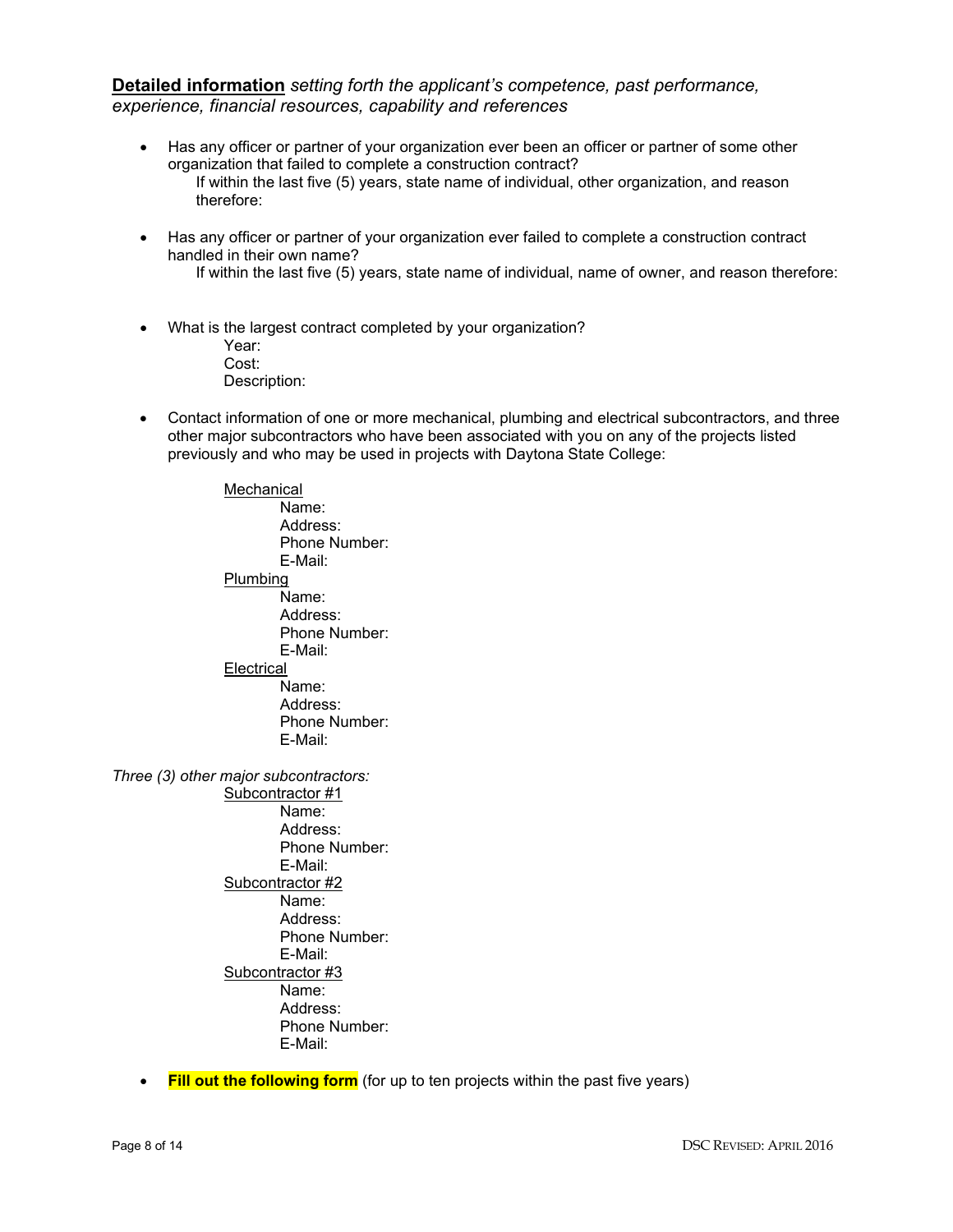## **Detailed information** *setting forth the applicant's competence, past performance, experience, financial resources, capability and references*

- Has any officer or partner of your organization ever been an officer or partner of some other organization that failed to complete a construction contract? If within the last five (5) years, state name of individual, other organization, and reason therefore:
- Has any officer or partner of your organization ever failed to complete a construction contract handled in their own name?
	- If within the last five (5) years, state name of individual, name of owner, and reason therefore:
- What is the largest contract completed by your organization? Year:
	- Cost: Description:
- Contact information of one or more mechanical, plumbing and electrical subcontractors, and three other major subcontractors who have been associated with you on any of the projects listed previously and who may be used in projects with Daytona State College:

**Mechanical** Name: Address: Phone Number: E-Mail: Plumbing Name: Address: Phone Number: E-Mail: **Electrical** Name: Address: Phone Number: E-Mail:

*Three (3) other major subcontractors:*

- Subcontractor #1 Name: Address: Phone Number: E-Mail: Subcontractor #2 Name: Address: Phone Number: E-Mail: Subcontractor #3 Name: Address: Phone Number: E-Mail:
- **Fill out the following form** (for up to ten projects within the past five years)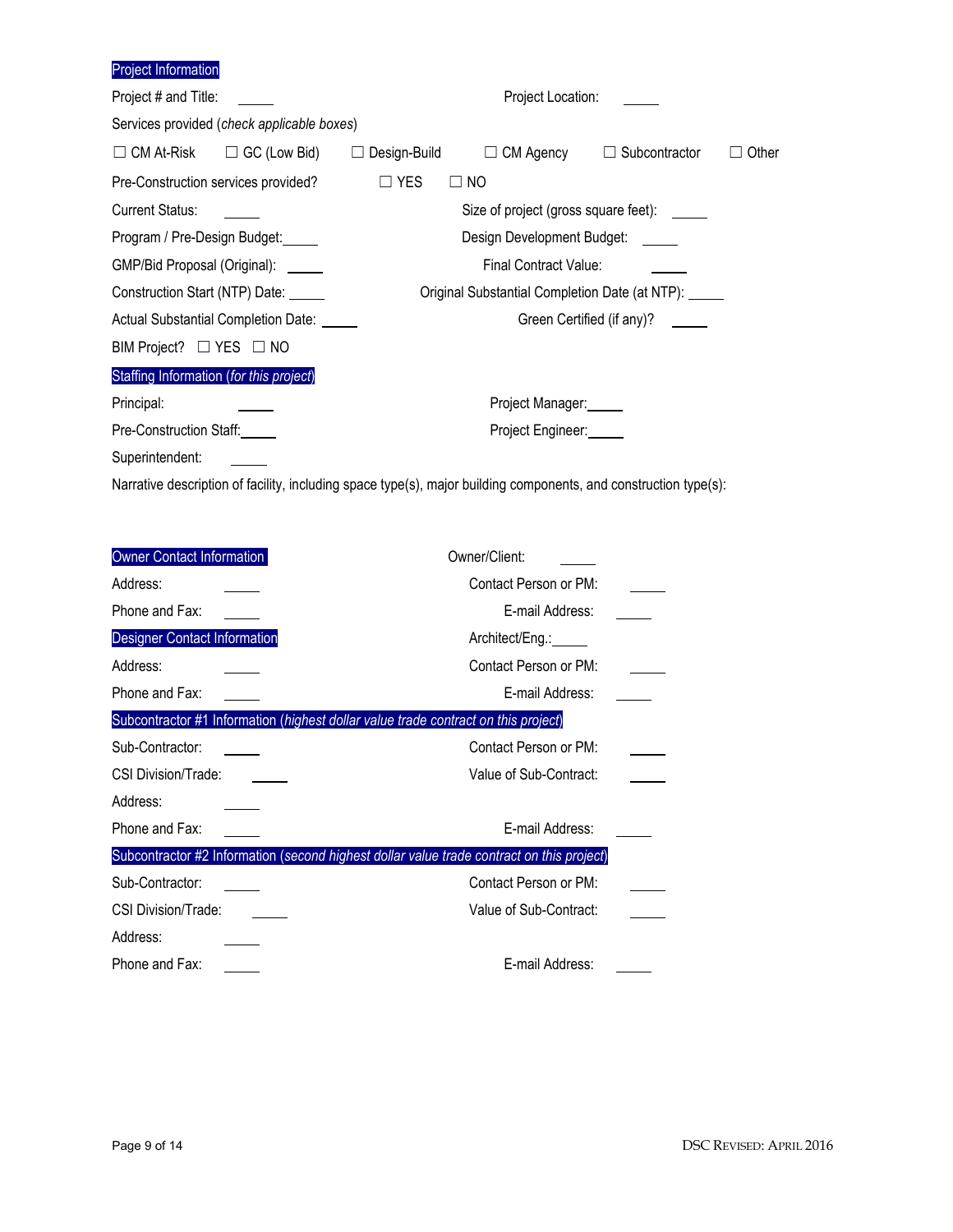Project Information

| Project # and Title:                       | Project Location: |                                                |                    |       |  |  |  |  |  |
|--------------------------------------------|-------------------|------------------------------------------------|--------------------|-------|--|--|--|--|--|
| Services provided (check applicable boxes) |                   |                                                |                    |       |  |  |  |  |  |
| $\Box$ CM At-Risk $\Box$ GC (Low Bid)      | Design-Build      | $\Box$ CM Agency                               | Subcontractor<br>ப | Other |  |  |  |  |  |
| Pre-Construction services provided?        | $\Box$ YES        | $\square$ NO                                   |                    |       |  |  |  |  |  |
| <b>Current Status:</b>                     |                   | Size of project (gross square feet): ______    |                    |       |  |  |  |  |  |
| Program / Pre-Design Budget:               |                   | Design Development Budget: \[\]                |                    |       |  |  |  |  |  |
| GMP/Bid Proposal (Original): ______        |                   | Final Contract Value:                          |                    |       |  |  |  |  |  |
| Construction Start (NTP) Date:             |                   | Original Substantial Completion Date (at NTP): |                    |       |  |  |  |  |  |
| Actual Substantial Completion Date: 1986   |                   | Green Certified (if any)?                      |                    |       |  |  |  |  |  |
| BIM Project? □ YES □ NO                    |                   |                                                |                    |       |  |  |  |  |  |
| Staffing Information (for this project)    |                   |                                                |                    |       |  |  |  |  |  |
| Principal:                                 |                   | Project Manager:                               |                    |       |  |  |  |  |  |
| Pre-Construction Staff:                    |                   | Project Engineer:                              |                    |       |  |  |  |  |  |
| Superintendent:                            |                   |                                                |                    |       |  |  |  |  |  |

Narrative description of facility, including space type(s), major building components, and construction type(s):

| <b>Owner Contact Information</b>                                                          | Owner/Client:          |
|-------------------------------------------------------------------------------------------|------------------------|
| Address:                                                                                  | Contact Person or PM:  |
| Phone and Fax:                                                                            | E-mail Address:        |
| <b>Designer Contact Information</b>                                                       | Architect/Eng.: _____  |
| Address:                                                                                  | Contact Person or PM:  |
| Phone and Fax:                                                                            | E-mail Address:        |
| Subcontractor #1 Information (highest dollar value trade contract on this project)        |                        |
| Sub-Contractor:                                                                           | Contact Person or PM:  |
| <b>CSI Division/Trade:</b>                                                                | Value of Sub-Contract: |
| Address:                                                                                  |                        |
| Phone and Fax:                                                                            | E-mail Address:        |
| Subcontractor #2 Information (second highest dollar value trade contract on this project) |                        |
| Sub-Contractor:                                                                           | Contact Person or PM:  |
| CSI Division/Trade:                                                                       | Value of Sub-Contract: |
| Address:                                                                                  |                        |
| Phone and Fax:                                                                            | E-mail Address:        |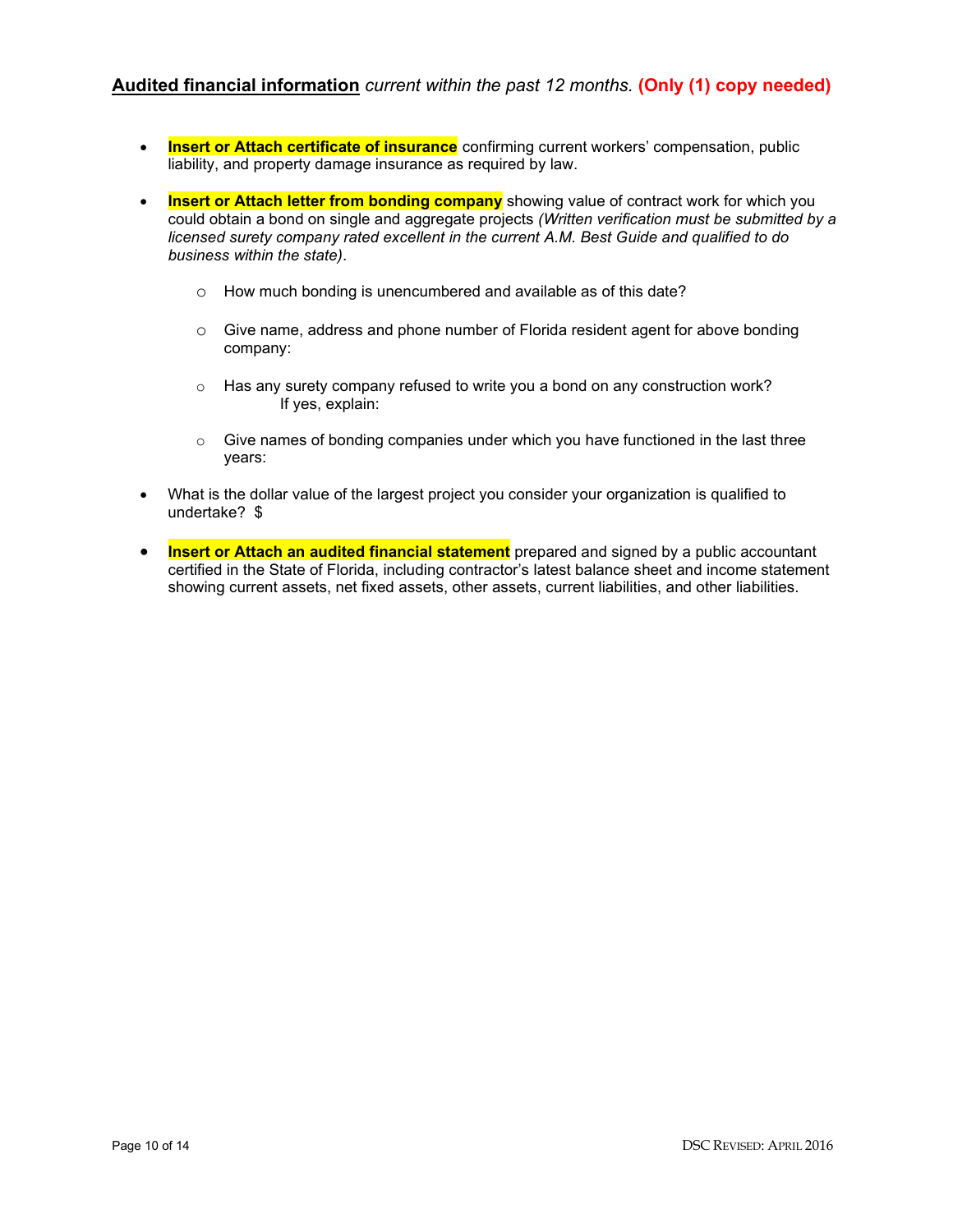## **Audited financial information** *current within the past 12 months.* **(Only (1) copy needed)**

- **Insert or Attach certificate of insurance** confirming current workers' compensation, public liability, and property damage insurance as required by law.
- **Insert or Attach letter from bonding company** showing value of contract work for which you could obtain a bond on single and aggregate projects *(Written verification must be submitted by a licensed surety company rated excellent in the current A.M. Best Guide and qualified to do business within the state)*.
	- o How much bonding is unencumbered and available as of this date?
	- $\circ$  Give name, address and phone number of Florida resident agent for above bonding company:
	- $\circ$  Has any surety company refused to write you a bond on any construction work? If yes, explain:
	- $\circ$  Give names of bonding companies under which you have functioned in the last three years:
- What is the dollar value of the largest project you consider your organization is qualified to undertake? \$
- **Insert or Attach an audited financial statement** prepared and signed by a public accountant certified in the State of Florida, including contractor's latest balance sheet and income statement showing current assets, net fixed assets, other assets, current liabilities, and other liabilities.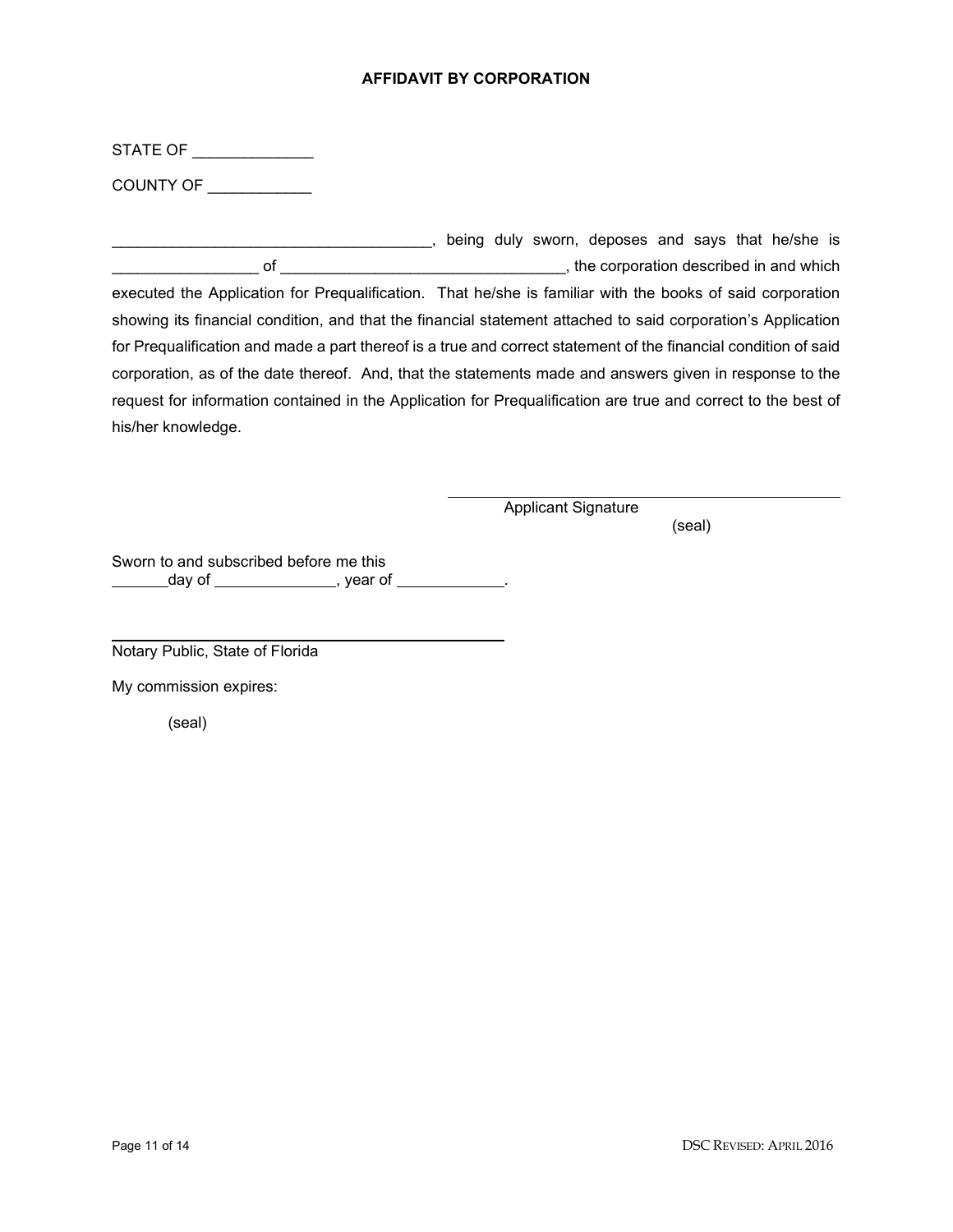### **AFFIDAVIT BY CORPORATION**

STATE OF

COUNTY OF \_\_\_\_\_\_\_\_\_\_\_\_

\_\_\_\_\_\_\_\_\_\_\_\_\_\_\_\_\_\_\_\_\_\_\_\_\_\_\_\_\_\_\_\_\_\_\_\_\_, being duly sworn, deposes and says that he/she is \_\_\_\_\_\_\_\_\_\_\_\_\_\_\_\_\_ of \_\_\_\_\_\_\_\_\_\_\_\_\_\_\_\_\_\_\_\_\_\_\_\_\_\_\_\_\_\_\_\_\_, the corporation described in and which executed the Application for Prequalification. That he/she is familiar with the books of said corporation showing its financial condition, and that the financial statement attached to said corporation's Application for Prequalification and made a part thereof is a true and correct statement of the financial condition of said corporation, as of the date thereof. And, that the statements made and answers given in response to the request for information contained in the Application for Prequalification are true and correct to the best of his/her knowledge.

Applicant Signature

(seal)

Sworn to and subscribed before me this \_\_\_\_\_\_\_day of \_\_\_\_\_\_\_\_\_\_\_\_\_\_, year of \_\_\_\_\_\_\_\_\_\_\_.

Notary Public, State of Florida

My commission expires:

(seal)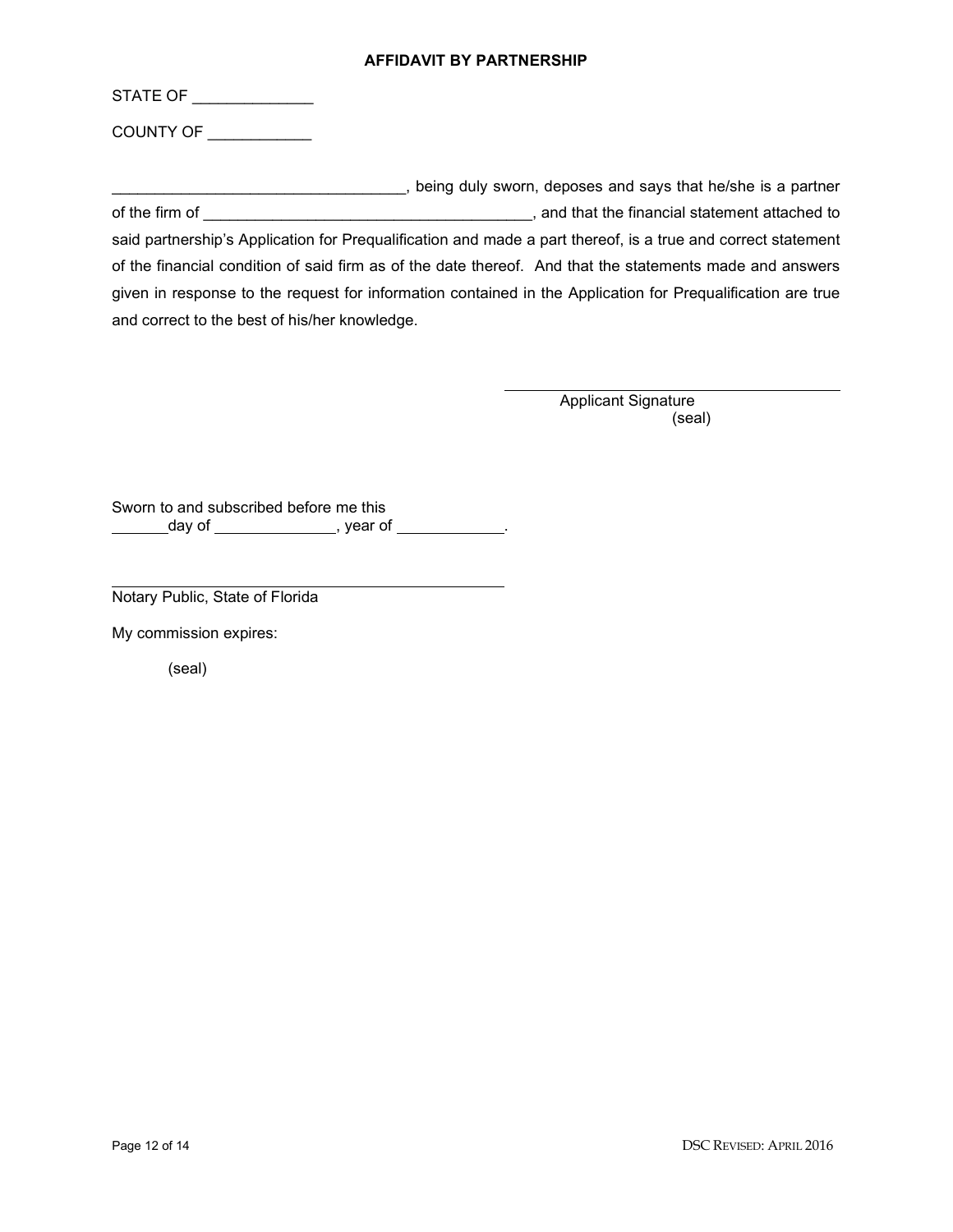### **AFFIDAVIT BY PARTNERSHIP**

| STATE OF |  |  |  |
|----------|--|--|--|
|          |  |  |  |
|          |  |  |  |

COUNTY OF \_\_\_\_\_\_\_\_\_\_\_\_

\_\_\_\_\_\_\_\_\_\_\_\_\_\_\_\_\_\_\_\_\_\_\_\_\_\_\_\_\_\_\_\_\_\_, being duly sworn, deposes and says that he/she is a partner of the firm of \_\_\_\_\_\_\_\_\_\_\_\_\_\_\_\_\_\_\_\_\_\_\_\_\_\_\_\_\_\_\_\_\_\_\_\_\_\_, and that the financial statement attached to said partnership's Application for Prequalification and made a part thereof, is a true and correct statement of the financial condition of said firm as of the date thereof. And that the statements made and answers given in response to the request for information contained in the Application for Prequalification are true and correct to the best of his/her knowledge.

> Applicant Signature (seal)

Sworn to and subscribed before me this \_\_\_\_\_\_\_day of \_\_\_\_\_\_\_\_\_\_\_\_\_\_\_, year of \_\_\_\_\_\_\_\_\_\_\_\_.

Notary Public, State of Florida

My commission expires:

(seal)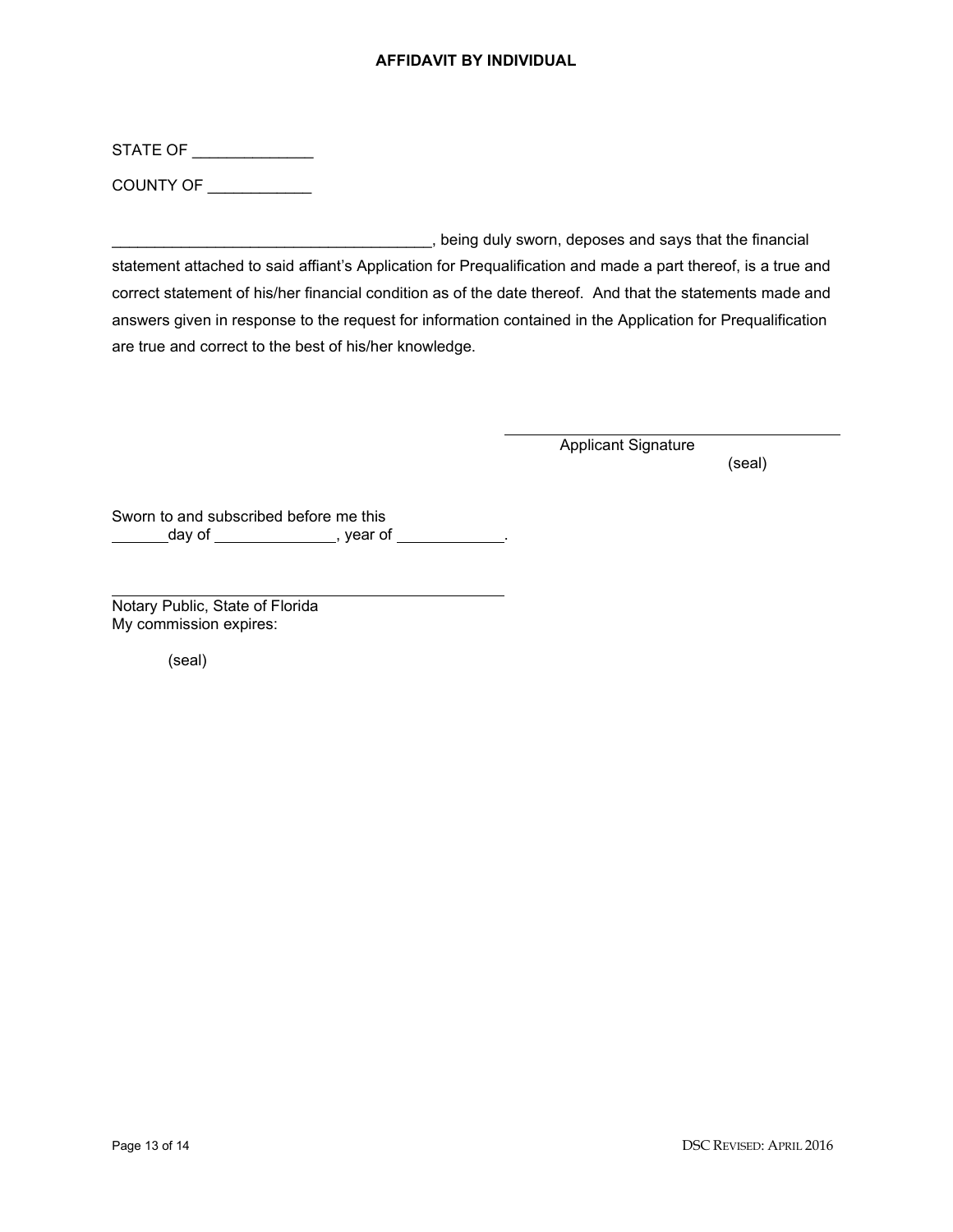## **AFFIDAVIT BY INDIVIDUAL**

STATE OF

COUNTY OF \_\_\_\_\_\_\_\_\_\_\_\_

\_\_\_\_\_\_\_\_\_\_\_\_\_\_\_\_\_\_\_\_\_\_\_\_\_\_\_\_\_\_\_\_\_\_\_\_\_, being duly sworn, deposes and says that the financial statement attached to said affiant's Application for Prequalification and made a part thereof, is a true and correct statement of his/her financial condition as of the date thereof. And that the statements made and answers given in response to the request for information contained in the Application for Prequalification are true and correct to the best of his/her knowledge.

Applicant Signature

(seal)

Sworn to and subscribed before me this day of , year of .

Notary Public, State of Florida My commission expires:

(seal)